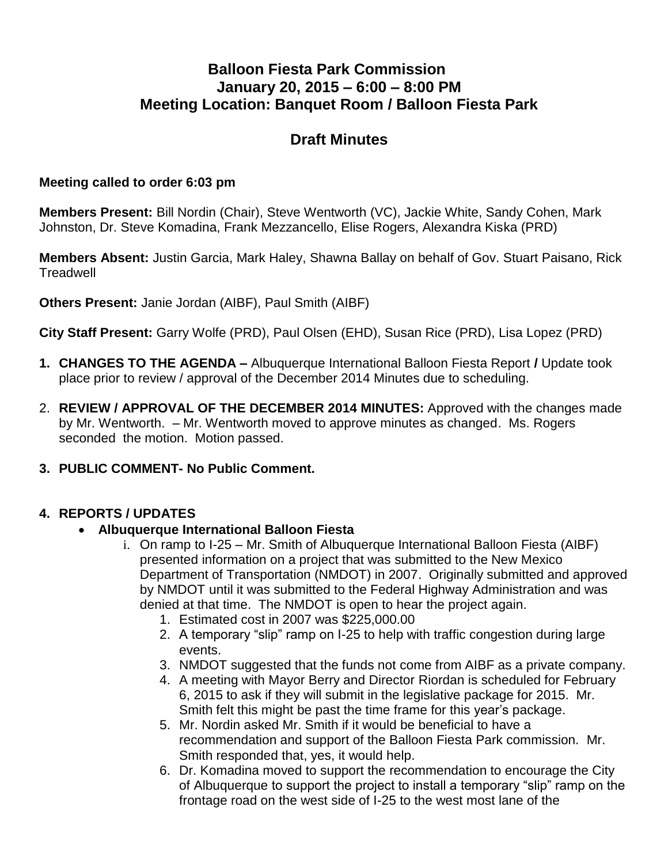## **Balloon Fiesta Park Commission January 20, 2015 – 6:00 – 8:00 PM Meeting Location: Banquet Room / Balloon Fiesta Park**

# **Draft Minutes**

#### **Meeting called to order 6:03 pm**

**Members Present:** Bill Nordin (Chair), Steve Wentworth (VC), Jackie White, Sandy Cohen, Mark Johnston, Dr. Steve Komadina, Frank Mezzancello, Elise Rogers, Alexandra Kiska (PRD)

**Members Absent:** Justin Garcia, Mark Haley, Shawna Ballay on behalf of Gov. Stuart Paisano, Rick **Treadwell** 

**Others Present:** Janie Jordan (AIBF), Paul Smith (AIBF)

**City Staff Present:** Garry Wolfe (PRD), Paul Olsen (EHD), Susan Rice (PRD), Lisa Lopez (PRD)

- **1. CHANGES TO THE AGENDA –** Albuquerque International Balloon Fiesta Report **/** Update took place prior to review / approval of the December 2014 Minutes due to scheduling.
- 2. **REVIEW / APPROVAL OF THE DECEMBER 2014 MINUTES:** Approved with the changes made by Mr. Wentworth. – Mr. Wentworth moved to approve minutes as changed. Ms. Rogers seconded the motion. Motion passed.
- **3. PUBLIC COMMENT- No Public Comment.**

### **4. REPORTS / UPDATES**

### **Albuquerque International Balloon Fiesta**

- i. On ramp to I-25 Mr. Smith of Albuquerque International Balloon Fiesta (AIBF) presented information on a project that was submitted to the New Mexico Department of Transportation (NMDOT) in 2007. Originally submitted and approved by NMDOT until it was submitted to the Federal Highway Administration and was denied at that time. The NMDOT is open to hear the project again.
	- 1. Estimated cost in 2007 was \$225,000.00
	- 2. A temporary "slip" ramp on I-25 to help with traffic congestion during large events.
	- 3. NMDOT suggested that the funds not come from AIBF as a private company.
	- 4. A meeting with Mayor Berry and Director Riordan is scheduled for February 6, 2015 to ask if they will submit in the legislative package for 2015. Mr. Smith felt this might be past the time frame for this year's package.
	- 5. Mr. Nordin asked Mr. Smith if it would be beneficial to have a recommendation and support of the Balloon Fiesta Park commission. Mr. Smith responded that, yes, it would help.
	- 6. Dr. Komadina moved to support the recommendation to encourage the City of Albuquerque to support the project to install a temporary "slip" ramp on the frontage road on the west side of I-25 to the west most lane of the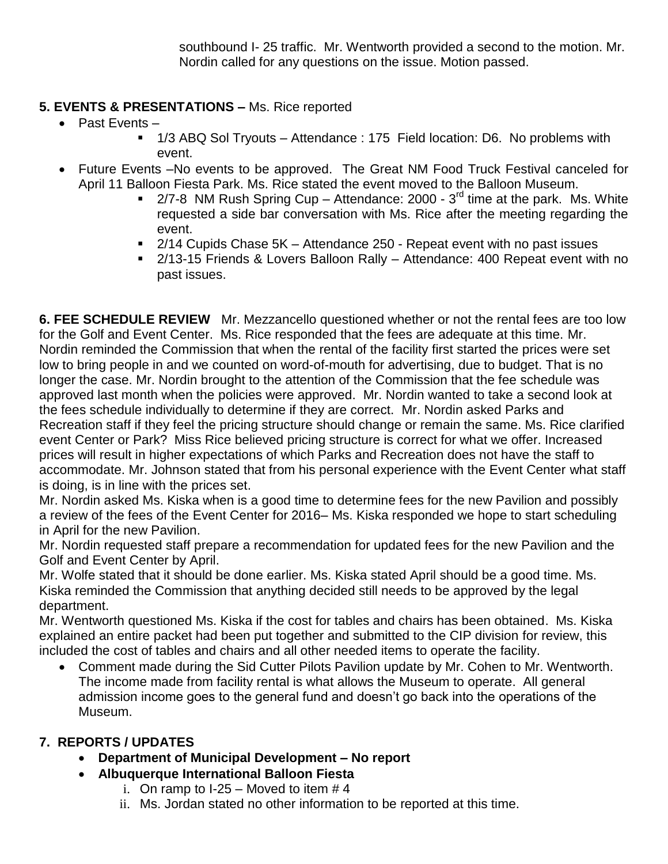southbound I- 25 traffic. Mr. Wentworth provided a second to the motion. Mr. Nordin called for any questions on the issue. Motion passed.

### **5. EVENTS & PRESENTATIONS –** Ms. Rice reported

- $\bullet$  Past Events
	- 1/3 ABQ Sol Tryouts Attendance : 175 Field location: D6. No problems with event.
- Future Events –No events to be approved. The Great NM Food Truck Festival canceled for April 11 Balloon Fiesta Park. Ms. Rice stated the event moved to the Balloon Museum.
	- $\blacksquare$  2/7-8 NM Rush Spring Cup Attendance: 2000 3<sup>rd</sup> time at the park. Ms. White requested a side bar conversation with Ms. Rice after the meeting regarding the event.
	- 2/14 Cupids Chase 5K Attendance 250 Repeat event with no past issues
	- 2/13-15 Friends & Lovers Balloon Rally Attendance: 400 Repeat event with no past issues.

**6. FEE SCHEDULE REVIEW** Mr. Mezzancello questioned whether or not the rental fees are too low for the Golf and Event Center. Ms. Rice responded that the fees are adequate at this time. Mr. Nordin reminded the Commission that when the rental of the facility first started the prices were set low to bring people in and we counted on word-of-mouth for advertising, due to budget. That is no longer the case. Mr. Nordin brought to the attention of the Commission that the fee schedule was approved last month when the policies were approved. Mr. Nordin wanted to take a second look at the fees schedule individually to determine if they are correct. Mr. Nordin asked Parks and Recreation staff if they feel the pricing structure should change or remain the same. Ms. Rice clarified event Center or Park? Miss Rice believed pricing structure is correct for what we offer. Increased prices will result in higher expectations of which Parks and Recreation does not have the staff to accommodate. Mr. Johnson stated that from his personal experience with the Event Center what staff is doing, is in line with the prices set.

Mr. Nordin asked Ms. Kiska when is a good time to determine fees for the new Pavilion and possibly a review of the fees of the Event Center for 2016– Ms. Kiska responded we hope to start scheduling in April for the new Pavilion.

Mr. Nordin requested staff prepare a recommendation for updated fees for the new Pavilion and the Golf and Event Center by April.

Mr. Wolfe stated that it should be done earlier. Ms. Kiska stated April should be a good time. Ms. Kiska reminded the Commission that anything decided still needs to be approved by the legal department.

Mr. Wentworth questioned Ms. Kiska if the cost for tables and chairs has been obtained. Ms. Kiska explained an entire packet had been put together and submitted to the CIP division for review, this included the cost of tables and chairs and all other needed items to operate the facility.

 Comment made during the Sid Cutter Pilots Pavilion update by Mr. Cohen to Mr. Wentworth. The income made from facility rental is what allows the Museum to operate. All general admission income goes to the general fund and doesn't go back into the operations of the Museum.

### **7. REPORTS / UPDATES**

- **Department of Municipal Development – No report**
- **Albuquerque International Balloon Fiesta**
	- i. On ramp to  $I-25$  Moved to item  $# 4$
	- ii. Ms. Jordan stated no other information to be reported at this time.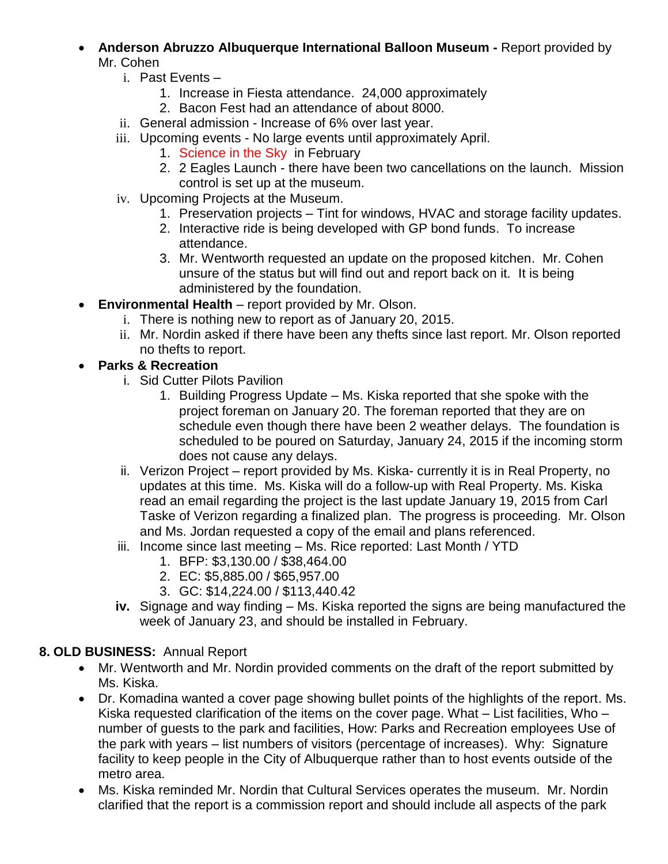- **Anderson Abruzzo Albuquerque International Balloon Museum -** Report provided by Mr. Cohen
	- i. Past Events
		- 1. Increase in Fiesta attendance. 24,000 approximately
		- 2. Bacon Fest had an attendance of about 8000.
	- ii. General admission Increase of 6% over last year.
	- iii. Upcoming events No large events until approximately April.
		- 1. Science in the Sky in February
		- 2. 2 Eagles Launch there have been two cancellations on the launch. Mission control is set up at the museum.
	- iv. Upcoming Projects at the Museum.
		- 1. Preservation projects Tint for windows, HVAC and storage facility updates.
		- 2. Interactive ride is being developed with GP bond funds. To increase attendance.
		- 3. Mr. Wentworth requested an update on the proposed kitchen. Mr. Cohen unsure of the status but will find out and report back on it. It is being administered by the foundation.
- **Environmental Health** report provided by Mr. Olson.
	- i. There is nothing new to report as of January 20, 2015.
	- ii. Mr. Nordin asked if there have been any thefts since last report. Mr. Olson reported no thefts to report.
- **Parks & Recreation**
	- i. Sid Cutter Pilots Pavilion
		- 1. Building Progress Update Ms. Kiska reported that she spoke with the project foreman on January 20. The foreman reported that they are on schedule even though there have been 2 weather delays. The foundation is scheduled to be poured on Saturday, January 24, 2015 if the incoming storm does not cause any delays.
	- ii. Verizon Project report provided by Ms. Kiska- currently it is in Real Property, no updates at this time. Ms. Kiska will do a follow-up with Real Property. Ms. Kiska read an email regarding the project is the last update January 19, 2015 from Carl Taske of Verizon regarding a finalized plan. The progress is proceeding. Mr. Olson and Ms. Jordan requested a copy of the email and plans referenced.
	- iii. Income since last meeting Ms. Rice reported: Last Month / YTD
		- 1. BFP: \$3,130.00 / \$38,464.00
		- 2. EC: \$5,885.00 / \$65,957.00
		- 3. GC: \$14,224.00 / \$113,440.42
	- **iv.** Signage and way finding Ms. Kiska reported the signs are being manufactured the week of January 23, and should be installed in February.

## **8. OLD BUSINESS:** Annual Report

- Mr. Wentworth and Mr. Nordin provided comments on the draft of the report submitted by Ms. Kiska.
- Dr. Komadina wanted a cover page showing bullet points of the highlights of the report. Ms. Kiska requested clarification of the items on the cover page. What – List facilities, Who – number of guests to the park and facilities, How: Parks and Recreation employees Use of the park with years – list numbers of visitors (percentage of increases). Why: Signature facility to keep people in the City of Albuquerque rather than to host events outside of the metro area.
- Ms. Kiska reminded Mr. Nordin that Cultural Services operates the museum. Mr. Nordin clarified that the report is a commission report and should include all aspects of the park